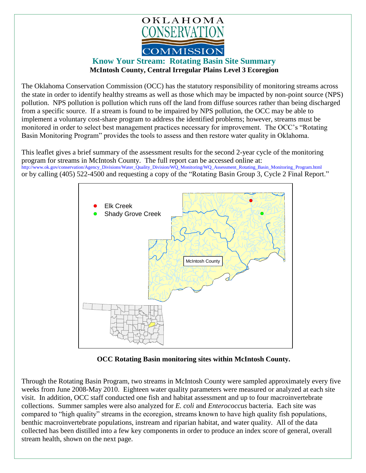

## **Know Your Stream: Rotating Basin Site Summary McIntosh County, Central Irregular Plains Level 3 Ecoregion**

The Oklahoma Conservation Commission (OCC) has the statutory responsibility of monitoring streams across the state in order to identify healthy streams as well as those which may be impacted by non-point source (NPS) pollution. NPS pollution is pollution which runs off the land from diffuse sources rather than being discharged from a specific source. If a stream is found to be impaired by NPS pollution, the OCC may be able to implement a voluntary cost-share program to address the identified problems; however, streams must be monitored in order to select best management practices necessary for improvement. The OCC's "Rotating Basin Monitoring Program" provides the tools to assess and then restore water quality in Oklahoma.

This leaflet gives a brief summary of the assessment results for the second 2-year cycle of the monitoring program for streams in McIntosh County. The full report can be accessed online at: [http://www.ok.gov/conservation/Agency\\_Divisions/Water\\_Quality\\_Division/WQ\\_Monitoring/WQ\\_Assessment\\_Rotating\\_Basin\\_Monitoring\\_Program.html](http://www.ok.gov/conservation/Agency_Divisions/Water_Quality_Division/WQ_Monitoring/WQ_Assessment_Rotating_Basin_Monitoring_Program.html)  or by calling (405) 522-4500 and requesting a copy of the "Rotating Basin Group 3, Cycle 2 Final Report."



**OCC Rotating Basin monitoring sites within McIntosh County.**

Through the Rotating Basin Program, two streams in McIntosh County were sampled approximately every five weeks from June 2008-May 2010. Eighteen water quality parameters were measured or analyzed at each site visit. In addition, OCC staff conducted one fish and habitat assessment and up to four macroinvertebrate collections. Summer samples were also analyzed for *E. coli* and *Enterococcus* bacteria. Each site was compared to "high quality" streams in the ecoregion, streams known to have high quality fish populations, benthic macroinvertebrate populations, instream and riparian habitat, and water quality. All of the data collected has been distilled into a few key components in order to produce an index score of general, overall stream health, shown on the next page.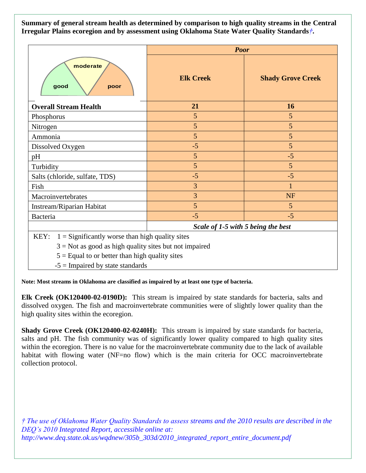**Summary of general stream health as determined by comparison to high quality streams in the Central Irregular Plains ecoregion and by assessment using Oklahoma State Water Quality Standards***†***.**

|                                                           | <b>Poor</b>                        |                          |
|-----------------------------------------------------------|------------------------------------|--------------------------|
| moderate<br>good<br>poor                                  | <b>Elk Creek</b>                   | <b>Shady Grove Creek</b> |
| <b>Overall Stream Health</b>                              | 21                                 | 16                       |
| Phosphorus                                                | 5                                  | 5                        |
| Nitrogen                                                  | 5                                  | 5                        |
| Ammonia                                                   | 5                                  | 5                        |
| Dissolved Oxygen                                          | $-5$                               | 5                        |
| pH                                                        | 5                                  | $-5$                     |
| Turbidity                                                 | 5                                  | 5                        |
| Salts (chloride, sulfate, TDS)                            | $-5$                               | $-5$                     |
| Fish                                                      | 3                                  | 1                        |
| Macroinvertebrates                                        | 3                                  | <b>NF</b>                |
| Instream/Riparian Habitat                                 | 5                                  | 5                        |
| <b>Bacteria</b>                                           | $-5$                               | $-5$                     |
|                                                           | Scale of 1-5 with 5 being the best |                          |
| KEY:<br>$1 =$ Significantly worse than high quality sites |                                    |                          |

 $3 = Not$  as good as high quality sites but not impaired

 $5 =$  Equal to or better than high quality sites

 $-5$  = Impaired by state standards

**Note: Most streams in Oklahoma are classified as impaired by at least one type of bacteria.**

**Elk Creek (OK120400-02-0190D):** This stream is impaired by state standards for bacteria, salts and dissolved oxygen. The fish and macroinvertebrate communities were of slightly lower quality than the high quality sites within the ecoregion.

**Shady Grove Creek (OK120400-02-0240H):** This stream is impaired by state standards for bacteria, salts and pH. The fish community was of significantly lower quality compared to high quality sites within the ecoregion. There is no value for the macroinvertebrate community due to the lack of available habitat with flowing water (NF=no flow) which is the main criteria for OCC macroinvertebrate collection protocol.

*† The use of Oklahoma Water Quality Standards to assess streams and the 2010 results are described in the DEQ's 2010 Integrated Report, accessible online at: http://www.deq.state.ok.us/wqdnew/305b\_303d/2010\_integrated\_report\_entire\_document.pdf*